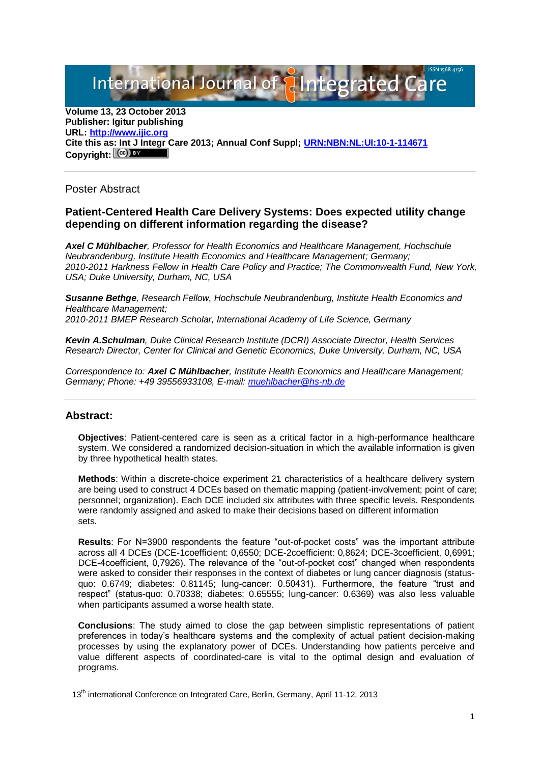International Journal of **Plntegrated** 

**Volume 13, 23 October 2013 Publisher: Igitur publishing URL[: http://www.ijic.org](http://www.ijic.org/) Cite this as: Int J Integr Care 2013; Annual Conf Suppl; [URN:NBN:NL:UI:10-1-114671](http://persistent-identifier.nl/?identifier=URN:NBN:NL:UI:10-1-114671)** Copyright:  $(cc)$ 

Poster Abstract

## **Patient-Centered Health Care Delivery Systems: Does expected utility change depending on different information regarding the disease?**

*Axel C Mühlbacher, Professor for Health Economics and Healthcare Management, Hochschule Neubrandenburg, Institute Health Economics and Healthcare Management; Germany; 2010-2011 Harkness Fellow in Health Care Policy and Practice; The Commonwealth Fund, New York, USA; Duke University, Durham, NC, USA*

*Susanne Bethge, Research Fellow, Hochschule Neubrandenburg, Institute Health Economics and Healthcare Management; 2010-2011 BMEP Research Scholar, International Academy of Life Science, Germany*

*Kevin A.Schulman, Duke Clinical Research Institute (DCRI) Associate Director, Health Services Research Director, Center for Clinical and Genetic Economics, Duke University, Durham, NC, USA*

*Correspondence to: Axel C Mühlbacher, Institute Health Economics and Healthcare Management; Germany; Phone: +49 39556933108, E-mail: [muehlbacher@hs-nb.de](mailto:muehlbacher@hs-nb.de)*

## **Abstract:**

**Objectives**: Patient-centered care is seen as a critical factor in a high-performance healthcare system. We considered a randomized decision-situation in which the available information is given by three hypothetical health states.

**Methods**: Within a discrete-choice experiment 21 characteristics of a healthcare delivery system are being used to construct 4 DCEs based on thematic mapping (patient-involvement; point of care; personnel; organization). Each DCE included six attributes with three specific levels. Respondents were randomly assigned and asked to make their decisions based on different information sets.

**Results**: For N=3900 respondents the feature "out-of-pocket costs" was the important attribute across all 4 DCEs (DCE-1coefficient: 0,6550; DCE-2coefficient: 0,8624; DCE-3coefficient, 0,6991; DCE-4coefficient, 0,7926). The relevance of the "out-of-pocket cost" changed when respondents were asked to consider their responses in the context of diabetes or lung cancer diagnosis (statusquo: 0.6749; diabetes: 0.81145; lung-cancer: 0.50431). Furthermore, the feature "trust and respect" (status-quo: 0.70338; diabetes: 0.65555; lung-cancer: 0.6369) was also less valuable when participants assumed a worse health state.

**Conclusions**: The study aimed to close the gap between simplistic representations of patient preferences in today's healthcare systems and the complexity of actual patient decision-making processes by using the explanatory power of DCEs. Understanding how patients perceive and value different aspects of coordinated-care is vital to the optimal design and evaluation of programs.

13<sup>th</sup> international Conference on Integrated Care, Berlin, Germany, April 11-12, 2013